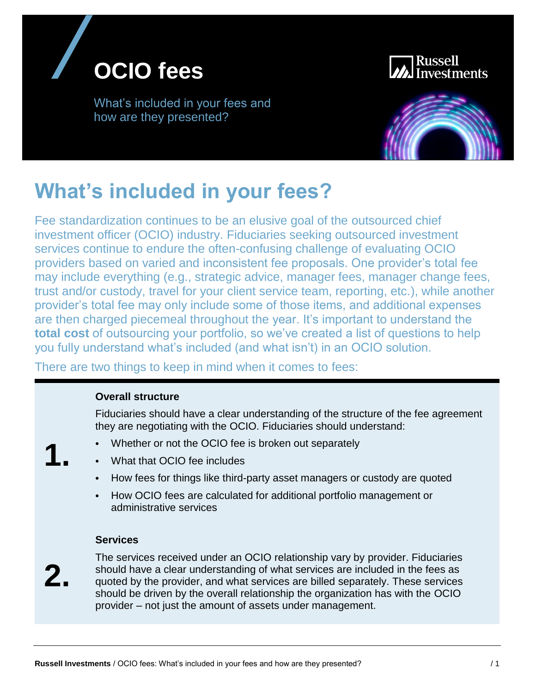



What's included in your fees and how are they presented?



# **What's included in your fees?**

Fee standardization continues to be an elusive goal of the outsourced chief investment officer (OCIO) industry. Fiduciaries seeking outsourced investment services continue to endure the often-confusing challenge of evaluating OCIO providers based on varied and inconsistent fee proposals. One provider's total fee may include everything (e.g., strategic advice, manager fees, manager change fees, trust and/or custody, travel for your client service team, reporting, etc.), while another provider's total fee may only include some of those items, and additional expenses are then charged piecemeal throughout the year. It's important to understand the **total cost** of outsourcing your portfolio, so we've created a list of questions to help you fully understand what's included (and what isn't) in an OCIO solution.

There are two things to keep in mind when it comes to fees:

#### **Overall structure**

Fiduciaries should have a clear understanding of the structure of the fee agreement they are negotiating with the OCIO. Fiduciaries should understand:

- **1.**
- Whether or not the OCIO fee is broken out separately
- What that OCIO fee includes
- How fees for things like third-party asset managers or custody are quoted
- How OCIO fees are calculated for additional portfolio management or administrative services

#### **Services**

**2.**

The services received under an OCIO relationship vary by provider. Fiduciaries should have a clear understanding of what services are included in the fees as quoted by the provider, and what services are billed separately. These services should be driven by the overall relationship the organization has with the OCIO provider – not just the amount of assets under management.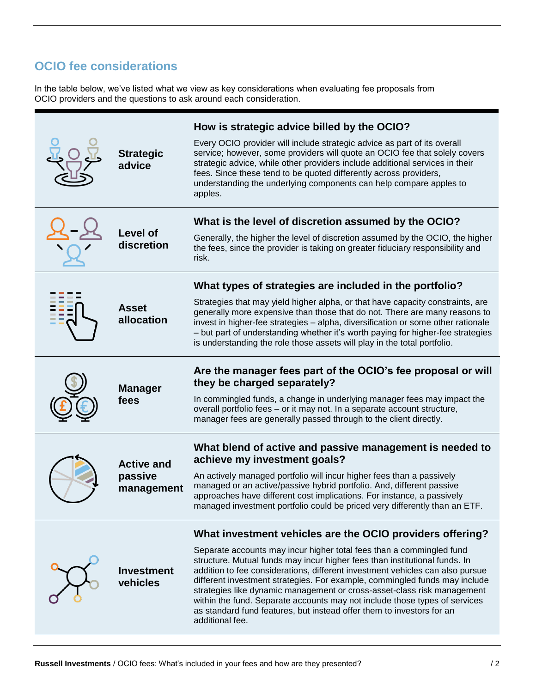# **OCIO fee considerations**

In the table below, we've listed what we view as key considerations when evaluating fee proposals from OCIO providers and the questions to ask around each consideration.

| <b>Strategic</b><br>advice                 | How is strategic advice billed by the OCIO?<br>Every OCIO provider will include strategic advice as part of its overall<br>service; however, some providers will quote an OCIO fee that solely covers<br>strategic advice, while other providers include additional services in their<br>fees. Since these tend to be quoted differently across providers,<br>understanding the underlying components can help compare apples to<br>apples.                                                                                                                            |
|--------------------------------------------|------------------------------------------------------------------------------------------------------------------------------------------------------------------------------------------------------------------------------------------------------------------------------------------------------------------------------------------------------------------------------------------------------------------------------------------------------------------------------------------------------------------------------------------------------------------------|
| <b>Level of</b><br>discretion              | What is the level of discretion assumed by the OCIO?<br>Generally, the higher the level of discretion assumed by the OCIO, the higher<br>the fees, since the provider is taking on greater fiduciary responsibility and<br>risk.                                                                                                                                                                                                                                                                                                                                       |
| <b>Asset</b><br>allocation                 | What types of strategies are included in the portfolio?                                                                                                                                                                                                                                                                                                                                                                                                                                                                                                                |
|                                            | Strategies that may yield higher alpha, or that have capacity constraints, are<br>generally more expensive than those that do not. There are many reasons to<br>invest in higher-fee strategies - alpha, diversification or some other rationale<br>- but part of understanding whether it's worth paying for higher-fee strategies<br>is understanding the role those assets will play in the total portfolio.                                                                                                                                                        |
| <b>Manager</b><br>fees                     | Are the manager fees part of the OCIO's fee proposal or will                                                                                                                                                                                                                                                                                                                                                                                                                                                                                                           |
|                                            | they be charged separately?<br>In commingled funds, a change in underlying manager fees may impact the<br>overall portfolio fees - or it may not. In a separate account structure,<br>manager fees are generally passed through to the client directly.                                                                                                                                                                                                                                                                                                                |
| <b>Active and</b><br>passive<br>management | What blend of active and passive management is needed to<br>achieve my investment goals?                                                                                                                                                                                                                                                                                                                                                                                                                                                                               |
|                                            | An actively managed portfolio will incur higher fees than a passively<br>managed or an active/passive hybrid portfolio. And, different passive<br>approaches have different cost implications. For instance, a passively<br>managed investment portfolio could be priced very differently than an ETF                                                                                                                                                                                                                                                                  |
|                                            | What investment vehicles are the OCIO providers offering?                                                                                                                                                                                                                                                                                                                                                                                                                                                                                                              |
| <b>Investment</b><br>vehicles              | Separate accounts may incur higher total fees than a commingled fund<br>structure. Mutual funds may incur higher fees than institutional funds. In<br>addition to fee considerations, different investment vehicles can also pursue<br>different investment strategies. For example, commingled funds may include<br>strategies like dynamic management or cross-asset-class risk management<br>within the fund. Separate accounts may not include those types of services<br>as standard fund features, but instead offer them to investors for an<br>additional fee. |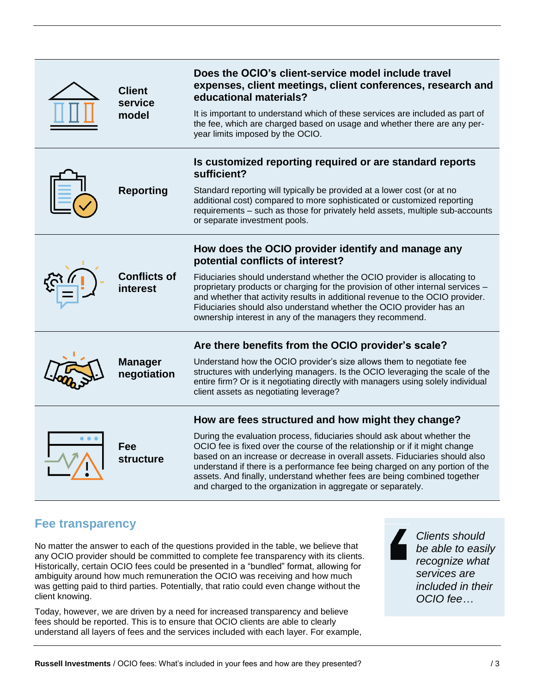| <b>Client</b><br>service<br>model | Does the OCIO's client-service model include travel<br>expenses, client meetings, client conferences, research and<br>educational materials?                                                                                                                                                                                                                                                                                                                     |
|-----------------------------------|------------------------------------------------------------------------------------------------------------------------------------------------------------------------------------------------------------------------------------------------------------------------------------------------------------------------------------------------------------------------------------------------------------------------------------------------------------------|
|                                   | It is important to understand which of these services are included as part of<br>the fee, which are charged based on usage and whether there are any per-<br>year limits imposed by the OCIO.                                                                                                                                                                                                                                                                    |
| <b>Reporting</b>                  | Is customized reporting required or are standard reports<br>sufficient?                                                                                                                                                                                                                                                                                                                                                                                          |
|                                   | Standard reporting will typically be provided at a lower cost (or at no<br>additional cost) compared to more sophisticated or customized reporting<br>requirements - such as those for privately held assets, multiple sub-accounts<br>or separate investment pools.                                                                                                                                                                                             |
| <b>Conflicts of</b><br>interest   | How does the OCIO provider identify and manage any<br>potential conflicts of interest?                                                                                                                                                                                                                                                                                                                                                                           |
|                                   | Fiduciaries should understand whether the OCIO provider is allocating to<br>proprietary products or charging for the provision of other internal services -<br>and whether that activity results in additional revenue to the OCIO provider.<br>Fiduciaries should also understand whether the OCIO provider has an<br>ownership interest in any of the managers they recommend.                                                                                 |
| <b>Manager</b><br>negotiation     | Are there benefits from the OCIO provider's scale?                                                                                                                                                                                                                                                                                                                                                                                                               |
|                                   | Understand how the OCIO provider's size allows them to negotiate fee<br>structures with underlying managers. Is the OCIO leveraging the scale of the<br>entire firm? Or is it negotiating directly with managers using solely individual<br>client assets as negotiating leverage?                                                                                                                                                                               |
| Fee<br><b>structure</b>           | How are fees structured and how might they change?                                                                                                                                                                                                                                                                                                                                                                                                               |
|                                   | During the evaluation process, fiduciaries should ask about whether the<br>OCIO fee is fixed over the course of the relationship or if it might change<br>based on an increase or decrease in overall assets. Fiduciaries should also<br>understand if there is a performance fee being charged on any portion of the<br>assets. And finally, understand whether fees are being combined together<br>and charged to the organization in aggregate or separately. |

### **Fee transparency**

No matter the answer to each of the questions provided in the table, we believe that any OCIO provider should be committed to complete fee transparency with its clients. Historically, certain OCIO fees could be presented in a "bundled" format, allowing for ambiguity around how much remuneration the OCIO was receiving and how much was getting paid to third parties. Potentially, that ratio could even change without the client knowing.

Today, however, we are driven by a need for increased transparency and believe fees should be reported. This is to ensure that OCIO clients are able to clearly understand all layers of fees and the services included with each layer. For example,

*Clients should be able to easily recognize what services are included in their OCIO fee…*